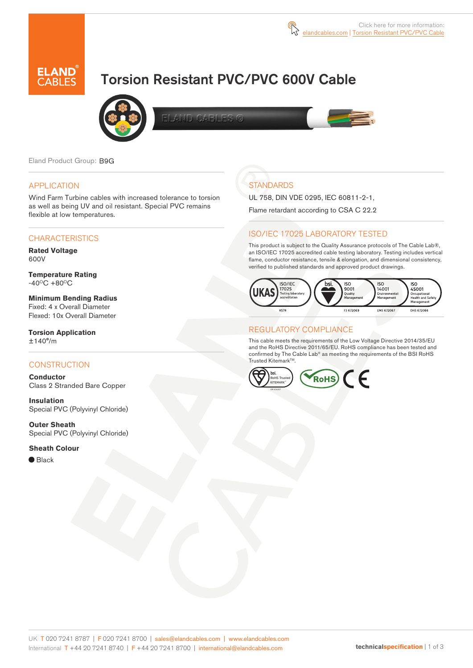

# Torsion Resistant PVC/PVC 600V Cable



LAND CARLES C



Eland Product Group: B9G

### APPLICATION

Wind Farm Turbine cables with increased tolerance to torsion as well as being UV and oil resistant. Special PVC remains flexible at low temperatures.

#### **CHARACTERISTICS**

**Rated Voltage**  600V

**Temperature Rating**   $-40^{\circ}$ C +80 $^{\circ}$ C

**Minimum Bending Radius**  Fixed: 4 x Overall Diameter Flexed: 10x Overall Diameter

**Torsion Application** ±140°/m

### **CONSTRUCTION**

**Conductor** Class 2 Stranded Bare Copper

**Insulation** Special PVC (Polyvinyl Chloride)

**Outer Sheath** Special PVC (Polyvinyl Chloride)

**Sheath Colour** 

● Black

## **STANDARDS**

UL 758, DIN VDE 0295, IEC 60811-2-1,

Flame retardant according to CSA C 22.2

### ISO/IEC 17025 LABORATORY TESTED

This product is subject to the Quality Assurance protocols of The Cable Lab®, an ISO/IEC 17025 accredited cable testing laboratory. Testing includes vertical flame, conductor resistance, tensile & elongation, and dimensional consistency, verified to published standards and approved product drawings.



### REGULATORY COMPLIANCE

This cable meets the requirements of the Low Voltage Directive 2014/35/EU and the RoHS Directive 2011/65/EU. RoHS compliance has been tested and confirmed by The Cable Lab® as meeting the requirements of the BSI RoHS Trusted Kitemark<sup>™</sup>.

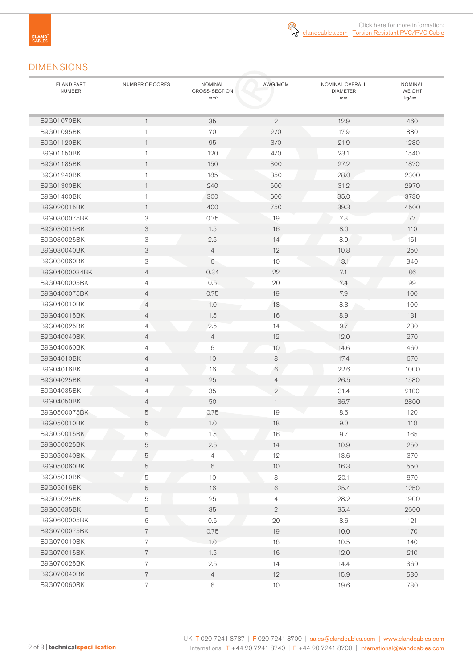### DIMENSIONS

| <b>ELAND PART</b><br><b>NUMBER</b> | NUMBER OF CORES | NOMINAL<br><b>CROSS-SECTION</b><br>mm <sup>2</sup> | AWG/MCM        | NOMINAL OVERALL<br><b>DIAMETER</b><br>mm | <b>NOMINAL</b><br>WEIGHT<br>kg/km |
|------------------------------------|-----------------|----------------------------------------------------|----------------|------------------------------------------|-----------------------------------|
|                                    |                 |                                                    |                |                                          |                                   |
| B9G01070BK                         | $\mathbf{1}$    | 35                                                 | $\mathbf{2}$   | 12.9                                     | 460                               |
| B9G01095BK                         | $\mathbf{1}$    | 70                                                 | 2/0            | 17.9                                     | 880                               |
| B9G01120BK                         | $\mathbf{1}$    | 95                                                 | 3/0            | 21.9                                     | 1230                              |
| B9G01150BK                         | $\mathbf{1}$    | 120                                                | 4/0            | 23.1                                     | 1540                              |
| B9G01185BK                         | $\mathbf{1}$    | 150                                                | 300            | 27.2                                     | 1870                              |
| B9G01240BK                         | $\mathbf{1}$    | 185                                                | 350            | 28.0                                     | 2300                              |
| B9G01300BK                         | $\mathbf{1}$    | 240                                                | 500            | 31.2                                     | 2970                              |
| B9G01400BK                         | 1               | 300                                                | 600            | 35.0                                     | 3730                              |
| B9G020015BK                        | $\mathbf{1}$    | 400                                                | 750            | 39.3                                     | 4500                              |
| B9G0300075BK                       | 3               | 0.75                                               | 19             | 7.3                                      | 77                                |
| B9G030015BK                        | 3               | 1.5                                                | 16             | 8.0                                      | 110                               |
| B9G030025BK                        | 3               | 2.5                                                | 14             | 8.9                                      | 151                               |
| B9G030040BK                        | 3               | $\overline{4}$                                     | 12             | 10.8                                     | 250                               |
| B9G030060BK                        | 3               | 6                                                  | 10             | 13.1                                     | 340                               |
| B9G04000034BK                      | $\overline{4}$  | 0.34                                               | 22             | 7.1                                      | 86                                |
| B9G0400005BK                       | $\overline{4}$  | 0.5                                                | 20             | 7.4                                      | 99                                |
| B9G0400075BK                       | 4               | 0.75                                               | 19             | 7.9                                      | 100                               |
| B9G040010BK                        | 4               | 1.0                                                | 18             | 8.3                                      | 100                               |
| B9G040015BK                        | $\overline{4}$  | 1.5                                                | 16             | 8.9                                      | 131                               |
| B9G040025BK                        | $\overline{4}$  | 2.5                                                | 14             | 9.7                                      | 230                               |
| B9G040040BK                        | $\overline{4}$  | $\overline{4}$                                     | 12             | 12.0                                     | 270                               |
| B9G040060BK                        | $\overline{4}$  | 6                                                  | 10             | 14.6                                     | 460                               |
| B9G04010BK                         | $\overline{4}$  | 10                                                 | 8              | 17.4                                     | 670                               |
| B9G04016BK                         | $\overline{4}$  | 16                                                 | $6\,$          | 22.6                                     | 1000                              |
| B9G04025BK                         | $\overline{4}$  | 25                                                 | $\overline{4}$ | 26.5                                     | 1580                              |
| B9G04035BK                         | $\overline{4}$  | 35                                                 | $\mathbf{2}$   | 31.4                                     | 2100                              |
| B9G04050BK                         | $\overline{4}$  | 50                                                 | $\overline{1}$ | 36.7                                     | 2800                              |
| B9G0500075BK                       | 5               | 0.75                                               | 19             | 8.6                                      | 120                               |
| B9G050010BK                        | 5               | 1.0                                                | 18             | 9.0                                      | 110                               |
| B9G050015BK                        | $\mathbf 5$     | 1.5                                                | 16             | 9.7                                      | 165                               |
| B9G050025BK                        | $\sqrt{5}$      | 2.5                                                | 14             | 10.9                                     | 250                               |
| B9G050040BK                        | 5               | 4                                                  | 12             | 13.6                                     | 370                               |
| B9G050060BK                        | $\sqrt{5}$      | 6                                                  | $10$           | 16.3                                     | 550                               |
| B9G05010BK                         | $\sqrt{5}$      | 10                                                 | 8              | 20.1                                     | 870                               |
| B9G05016BK                         | 5               | 16                                                 | 6              | 25.4                                     | 1250                              |
| B9G05025BK                         | 5               | 25                                                 | $\overline{4}$ | 28.2                                     | 1900                              |
| B9G05035BK                         | $\sqrt{5}$      | 35                                                 | $\mathbf{2}$   | 35.4                                     | 2600                              |
| B9G0600005BK                       | 6               | 0.5                                                | 20             | $8.6\,$                                  | 121                               |
| B9G0700075BK                       | $\,7$           | 0.75                                               | 19             | 10.0                                     | 170                               |
| B9G070010BK                        | $\,7$           | 1.0                                                | 18             | 10.5                                     | 140                               |
| B9G070015BK                        | $\,7$           | $1.5\,$                                            | 16             | 12.0                                     | 210                               |
| B9G070025BK                        | 7               | 2.5                                                | 14             | 14.4                                     | 360                               |
| B9G070040BK                        | $\,7$           | $\overline{4}$                                     | 12             | 15.9                                     | 530                               |
| B9G070060BK                        | $\sqrt{7}$      | 6                                                  | 10             | 19.6                                     | 780                               |